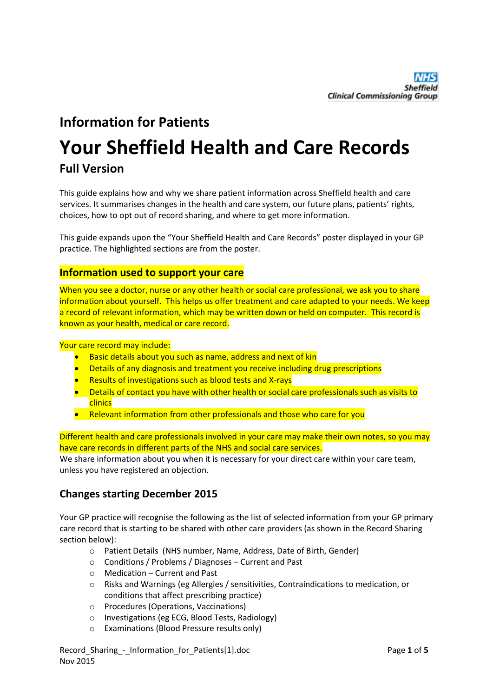## **Information for Patients**

# **Your Sheffield Health and Care Records**

## **Full Version**

This guide explains how and why we share patient information across Sheffield health and care services. It summarises changes in the health and care system, our future plans, patients' rights, choices, how to opt out of record sharing, and where to get more information.

This guide expands upon the "Your Sheffield Health and Care Records" poster displayed in your GP practice. The highlighted sections are from the poster.

### **Information used to support your care**

When you see a doctor, nurse or any other health or social care professional, we ask you to share information about yourself. This helps us offer treatment and care adapted to your needs. We keep a record of relevant information, which may be written down or held on computer. This record is known as your health, medical or care record.

Your care record may include:

- Basic details about you such as name, address and next of kin
- **•** Details of any diagnosis and treatment you receive including drug prescriptions
- Results of investigations such as blood tests and X-rays
- **•** Details of contact you have with other health or social care professionals such as visits to clinics
- Relevant information from other professionals and those who care for you

Different health and care professionals involved in your care may make their own notes, so you may have care records in different parts of the NHS and social care services.

We share information about you when it is necessary for your direct care within your care team, unless you have registered an objection.

## **Changes starting December 2015**

Your GP practice will recognise the following as the list of selected information from your GP primary care record that is starting to be shared with other care providers (as shown in the Record Sharing section below):

- o Patient Details (NHS number, Name, Address, Date of Birth, Gender)
- o Conditions / Problems / Diagnoses Current and Past
- o Medication Current and Past
- o Risks and Warnings (eg Allergies / sensitivities, Contraindications to medication, or conditions that affect prescribing practice)
- o Procedures (Operations, Vaccinations)
- o Investigations (eg ECG, Blood Tests, Radiology)
- o Examinations (Blood Pressure results only)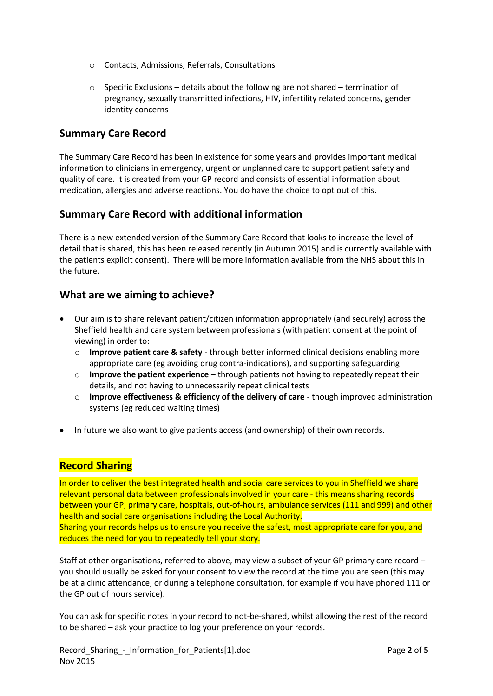- o Contacts, Admissions, Referrals, Consultations
- $\circ$  Specific Exclusions details about the following are not shared termination of pregnancy, sexually transmitted infections, HIV, infertility related concerns, gender identity concerns

## **Summary Care Record**

The Summary Care Record has been in existence for some years and provides important medical information to clinicians in emergency, urgent or unplanned care to support patient safety and quality of care. It is created from your GP record and consists of essential information about medication, allergies and adverse reactions. You do have the choice to opt out of this.

## **Summary Care Record with additional information**

There is a new extended version of the Summary Care Record that looks to increase the level of detail that is shared, this has been released recently (in Autumn 2015) and is currently available with the patients explicit consent). There will be more information available from the NHS about this in the future.

## **What are we aiming to achieve?**

- Our aim is to share relevant patient/citizen information appropriately (and securely) across the Sheffield health and care system between professionals (with patient consent at the point of viewing) in order to:
	- o **Improve patient care & safety** through better informed clinical decisions enabling more appropriate care (eg avoiding drug contra-indications), and supporting safeguarding
	- o **Improve the patient experience** through patients not having to repeatedly repeat their details, and not having to unnecessarily repeat clinical tests
	- o **Improve effectiveness & efficiency of the delivery of care** though improved administration systems (eg reduced waiting times)
- In future we also want to give patients access (and ownership) of their own records.

## **Record Sharing**

In order to deliver the best integrated health and social care services to you in Sheffield we share relevant personal data between professionals involved in your care - this means sharing records between your GP, primary care, hospitals, out-of-hours, ambulance services (111 and 999) and other health and social care organisations including the Local Authority. Sharing your records helps us to ensure you receive the safest, most appropriate care for you, and reduces the need for you to repeatedly tell your story.

Staff at other organisations, referred to above, may view a subset of your GP primary care record – you should usually be asked for your consent to view the record at the time you are seen (this may be at a clinic attendance, or during a telephone consultation, for example if you have phoned 111 or the GP out of hours service).

You can ask for specific notes in your record to not-be-shared, whilst allowing the rest of the record to be shared – ask your practice to log your preference on your records.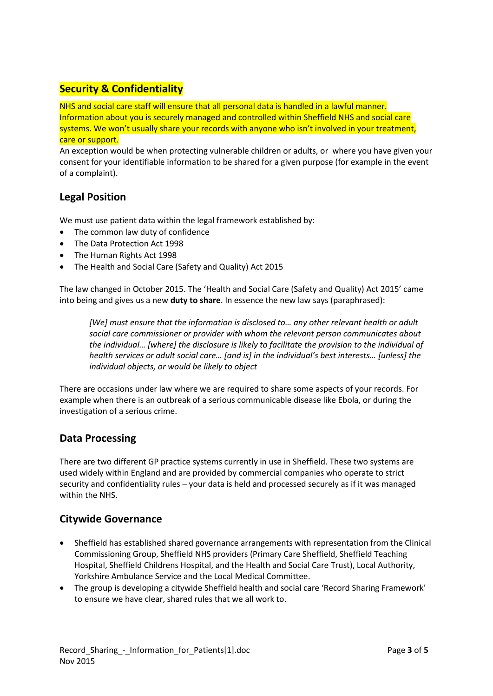## **Security & Confidentiality**

NHS and social care staff will ensure that all personal data is handled in a lawful manner. Information about you is securely managed and controlled within Sheffield NHS and social care systems. We won't usually share your records with anyone who isn't involved in your treatment, care or support.

An exception would be when protecting vulnerable children or adults, or where you have given your consent for your identifiable information to be shared for a given purpose (for example in the event of a complaint).

## **Legal Position**

We must use patient data within the legal framework established by:

- The common law duty of confidence
- The Data Protection Act 1998
- The Human Rights Act 1998
- The Health and Social Care (Safety and Quality) Act 2015

The law changed in October 2015. The 'Health and Social Care (Safety and Quality) Act 2015' came into being and gives us a new **duty to share**. In essence the new law says (paraphrased):

*[We] must ensure that the information is disclosed to… any other relevant health or adult social care commissioner or provider with whom the relevant person communicates about the individual… [where] the disclosure is likely to facilitate the provision to the individual of health services or adult social care… [and is] in the individual's best interests… [unless] the individual objects, or would be likely to object*

There are occasions under law where we are required to share some aspects of your records. For example when there is an outbreak of a serious communicable disease like Ebola, or during the investigation of a serious crime.

## **Data Processing**

There are two different GP practice systems currently in use in Sheffield. These two systems are used widely within England and are provided by commercial companies who operate to strict security and confidentiality rules – your data is held and processed securely as if it was managed within the NHS.

## **Citywide Governance**

- Sheffield has established shared governance arrangements with representation from the Clinical Commissioning Group, Sheffield NHS providers (Primary Care Sheffield, Sheffield Teaching Hospital, Sheffield Childrens Hospital, and the Health and Social Care Trust), Local Authority, Yorkshire Ambulance Service and the Local Medical Committee.
- The group is developing a citywide Sheffield health and social care 'Record Sharing Framework' to ensure we have clear, shared rules that we all work to.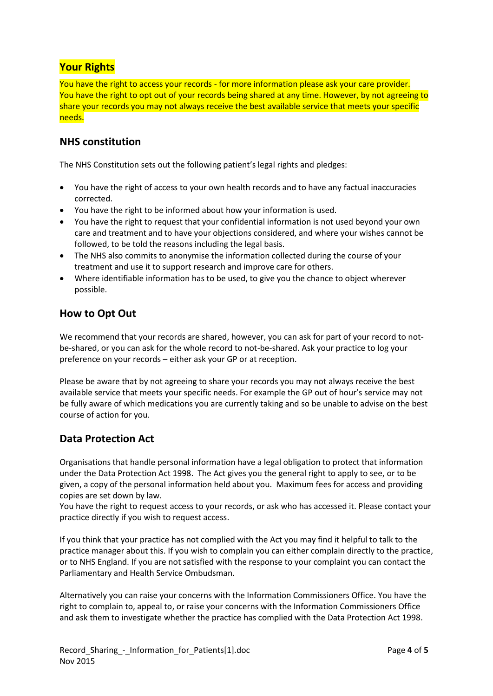## **Your Rights**

You have the right to access your records - for more information please ask your care provider. You have the right to opt out of your records being shared at any time. However, by not agreeing to share your records you may not always receive the best available service that meets your specific needs.

### **NHS constitution**

The NHS Constitution sets out the following patient's legal rights and pledges:

- You have the right of access to your own health records and to have any factual inaccuracies corrected.
- You have the right to be informed about how your information is used.
- You have the right to request that your confidential information is not used beyond your own care and treatment and to have your objections considered, and where your wishes cannot be followed, to be told the reasons including the legal basis.
- The NHS also commits to anonymise the information collected during the course of your treatment and use it to support research and improve care for others.
- Where identifiable information has to be used, to give you the chance to object wherever possible.

## **How to Opt Out**

We recommend that your records are shared, however, you can ask for part of your record to notbe-shared, or you can ask for the whole record to not-be-shared. Ask your practice to log your preference on your records – either ask your GP or at reception.

Please be aware that by not agreeing to share your records you may not always receive the best available service that meets your specific needs. For example the GP out of hour's service may not be fully aware of which medications you are currently taking and so be unable to advise on the best course of action for you.

### **Data Protection Act**

Organisations that handle personal information have a legal obligation to protect that information under the Data Protection Act 1998. The Act gives you the general right to apply to see, or to be given, a copy of the personal information held about you. Maximum fees for access and providing copies are set down by law.

You have the right to request access to your records, or ask who has accessed it. Please contact your practice directly if you wish to request access.

If you think that your practice has not complied with the Act you may find it helpful to talk to the practice manager about this. If you wish to complain you can either complain directly to the practice, or to NHS England. If you are not satisfied with the response to your complaint you can contact the Parliamentary and Health Service Ombudsman.

Alternatively you can raise your concerns with the Information Commissioners Office. You have the right to complain to, appeal to, or raise your concerns with the Information Commissioners Office and ask them to investigate whether the practice has complied with the Data Protection Act 1998.